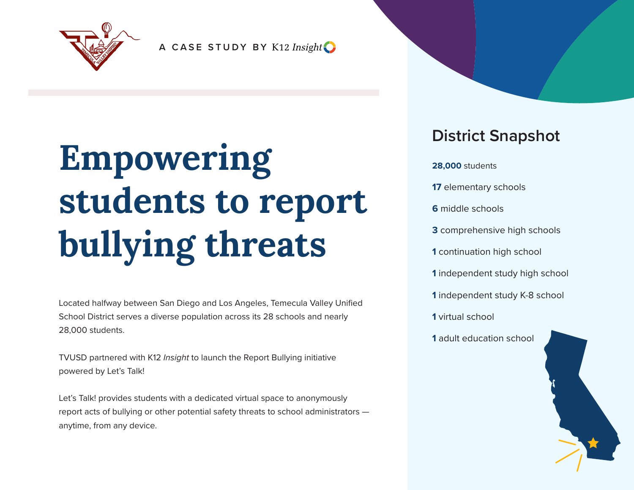

**A CASE STUDY BY**

# **Empowering students to report bullying threats**

Located halfway between San Diego and Los Angeles, Temecula Valley Unified School District serves a diverse population across its 28 schools and nearly 28,000 students.

TVUSD partnered with K12 *Insight* to launch the Report Bullying initiative powered by Let's Talk!

Let's Talk! provides students with a dedicated virtual space to anonymously report acts of bullying or other potential safety threats to school administrators anytime, from any device.

#### **District Snapshot**

**28,000** students elementary schools middle schools comprehensive high schools continuation high school independent study high school independent study K-8 school virtual school adult education school

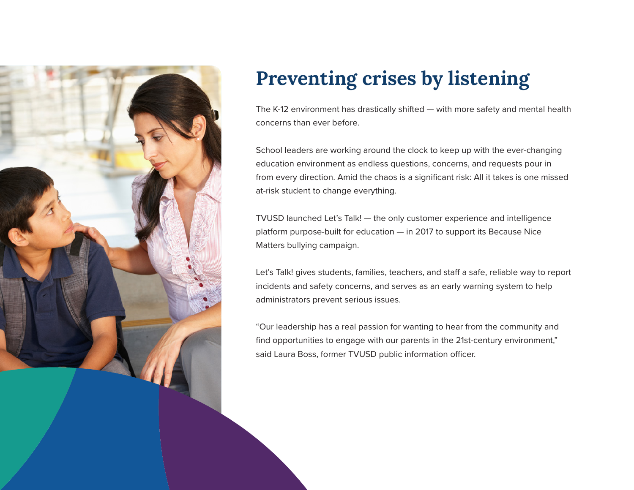

### **Preventing crises by listening**

The K-12 environment has drastically shifted — with more safety and mental health concerns than ever before.

School leaders are working around the clock to keep up with the ever-changing education environment as endless questions, concerns, and requests pour in from every direction. Amid the chaos is a significant risk: All it takes is one missed at-risk student to change everything.

TVUSD launched Let's Talk! — the only customer experience and intelligence platform purpose-built for education — in 2017 to support its Because Nice Matters bullying campaign.

Let's Talk! gives students, families, teachers, and staff a safe, reliable way to report incidents and safety concerns, and serves as an early warning system to help administrators prevent serious issues.

"Our leadership has a real passion for wanting to hear from the community and find opportunities to engage with our parents in the 21st-century environment," said Laura Boss, former TVUSD public information officer.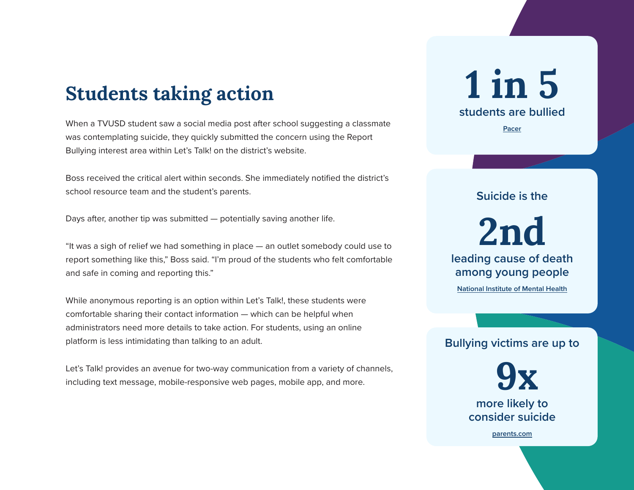#### **Students taking action**

When a TVUSD student saw a social media post after school suggesting a classmate was contemplating suicide, they quickly submitted the concern using the Report Bullying interest area within Let's Talk! on the district's website.

Boss received the critical alert within seconds. She immediately notified the district's school resource team and the student's parents.

Days after, another tip was submitted — potentially saving another life.

"It was a sigh of relief we had something in place — an outlet somebody could use to report something like this," Boss said. "I'm proud of the students who felt comfortable and safe in coming and reporting this."

While anonymous reporting is an option within Let's Talk!, these students were comfortable sharing their contact information — which can be helpful when administrators need more details to take action. For students, using an online platform is less intimidating than talking to an adult.

Let's Talk! provides an avenue for two-way communication from a variety of channels, including text message, mobile-responsive web pages, mobile app, and more.

## **1 in 5 students are bullied**

**Pacer**

**Suicide is the**

**2nd leading cause of death among young people**

**National Institute of Mental Health**

#### **Bullying victims are up to**

**9x more likely to consider suicide**

**parents.com**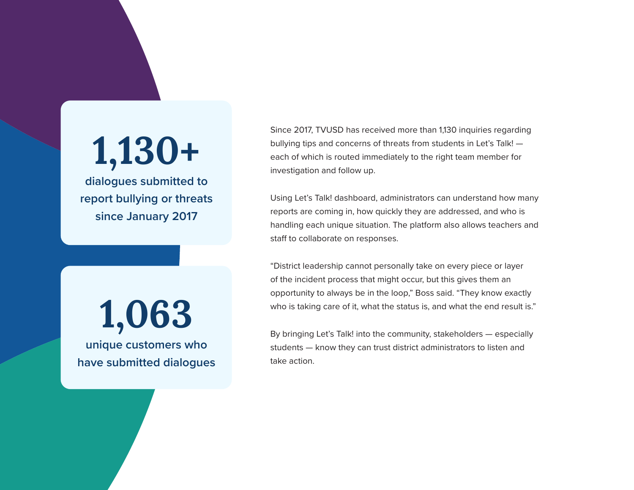# **1,130+**

**dialogues submitted to report bullying or threats since January 2017**

Since 2017, TVUSD has received more than 1,130 inquiries regarding bullying tips and concerns of threats from students in Let's Talk! each of which is routed immediately to the right team member for investigation and follow up.

Using Let's Talk! dashboard, administrators can understand how many reports are coming in, how quickly they are addressed, and who is handling each unique situation. The platform also allows teachers and staff to collaborate on responses.

"District leadership cannot personally take on every piece or layer of the incident process that might occur, but this gives them an opportunity to always be in the loop," Boss said. "They know exactly who is taking care of it, what the status is, and what the end result is."

By bringing Let's Talk! into the community, stakeholders — especially students — know they can trust district administrators to listen and take action.

**1,063 unique customers who have submitted dialogues**